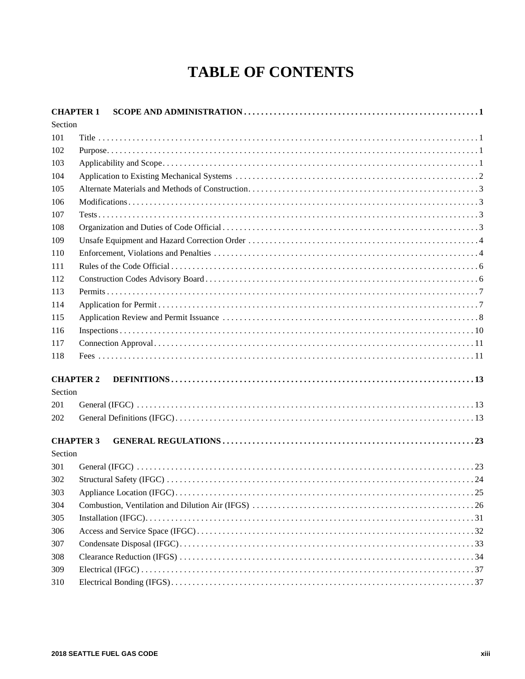## **TABLE OF CONTENTS**

| <b>CHAPTER 1</b> |  |
|------------------|--|
| Section          |  |
| 101              |  |
| 102              |  |
| 103              |  |
| 104              |  |
| 105              |  |
| 106              |  |
| 107              |  |
| 108              |  |
| 109              |  |
| 110              |  |
| 111              |  |
| 112              |  |
| 113              |  |
| 114              |  |
| 115              |  |
| 116              |  |
| 117              |  |
| 118              |  |
|                  |  |
| <b>CHAPTER 2</b> |  |
| Section          |  |
| 201              |  |
| 202              |  |
|                  |  |
| <b>CHAPTER 3</b> |  |
| Section          |  |
| 301              |  |
| 302              |  |
| 303              |  |
| 304              |  |
| 305              |  |
| 306              |  |
| 307              |  |
| 308              |  |
| 309              |  |
| 310              |  |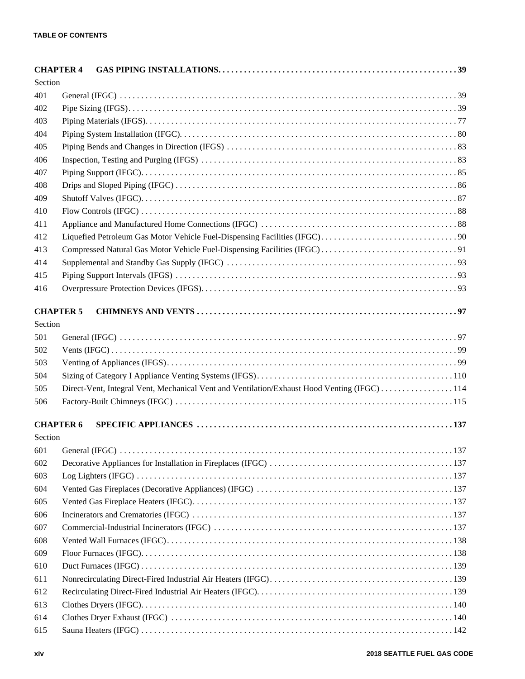| <b>CHAPTER 4</b> |                                                                                             |  |
|------------------|---------------------------------------------------------------------------------------------|--|
| Section          |                                                                                             |  |
| 401              |                                                                                             |  |
| 402              |                                                                                             |  |
| 403              |                                                                                             |  |
| 404              |                                                                                             |  |
| 405              |                                                                                             |  |
| 406              |                                                                                             |  |
| 407              |                                                                                             |  |
| 408              |                                                                                             |  |
| 409              |                                                                                             |  |
| 410              |                                                                                             |  |
| 411              |                                                                                             |  |
| 412              |                                                                                             |  |
| 413              |                                                                                             |  |
| 414              |                                                                                             |  |
| 415              |                                                                                             |  |
| 416              |                                                                                             |  |
| <b>CHAPTER 5</b> |                                                                                             |  |
| Section          |                                                                                             |  |
| 501              |                                                                                             |  |
| 502              |                                                                                             |  |
| 503              |                                                                                             |  |
| 504              |                                                                                             |  |
| 505              | Direct-Vent, Integral Vent, Mechanical Vent and Ventilation/Exhaust Hood Venting (IFGC) 114 |  |
| 506              |                                                                                             |  |
|                  |                                                                                             |  |
| <b>CHAPTER 6</b> |                                                                                             |  |
| Section          |                                                                                             |  |
| 601              |                                                                                             |  |
| 602              |                                                                                             |  |
| 603              |                                                                                             |  |
| 604              |                                                                                             |  |
| 605              |                                                                                             |  |
| 606              |                                                                                             |  |
| 607              |                                                                                             |  |
| 608              |                                                                                             |  |
| 609              |                                                                                             |  |
| 610              |                                                                                             |  |
| 611              |                                                                                             |  |
| 612              |                                                                                             |  |
| 613              |                                                                                             |  |
| 614              |                                                                                             |  |
| 615              |                                                                                             |  |